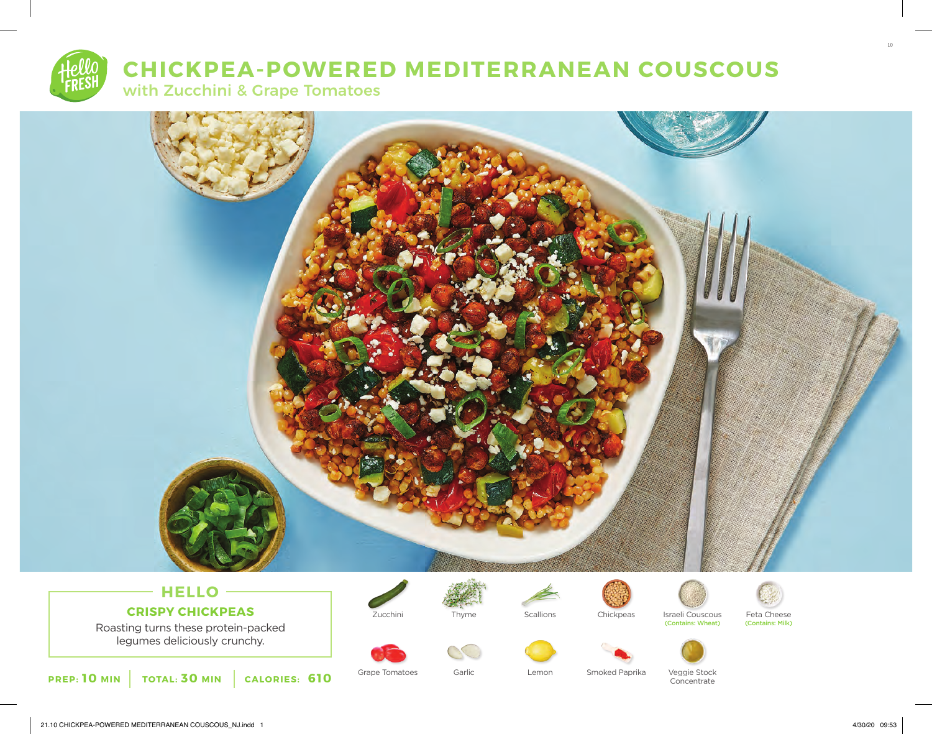# **CHICKPEA-POWERED MEDITERRANEAN COUSCOUS**

with Zucchini & Grape Tomatoes



# **HELLO CRISPY CHICKPEAS**

Roasting turns these protein-packed legumes deliciously crunchy.







Garlic









Grape Tomatoes Garlic Chemon Smoked Paprika Veggie Stock **Concentrate** 

10